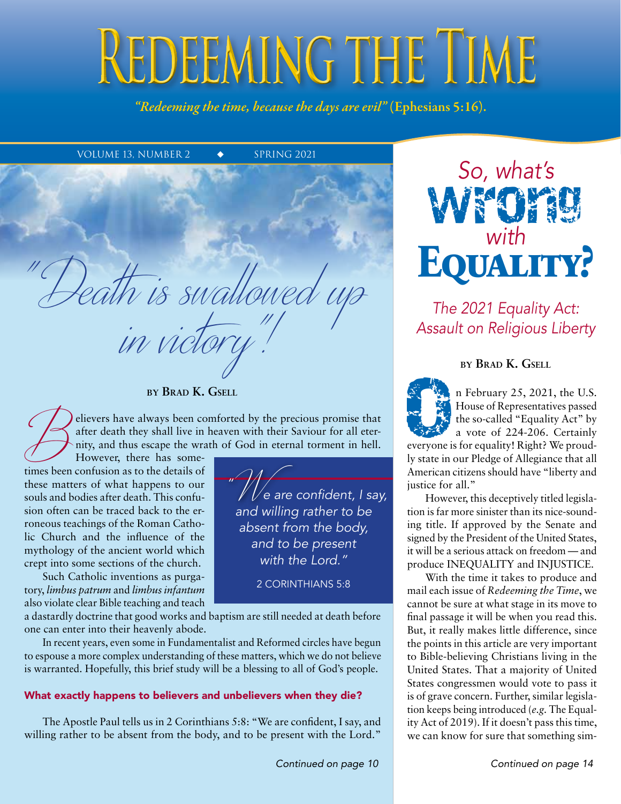# REDEEMING THE TIME

*"Redeeming the time, because the days are evil"* (Ephesians 5:16).

VOLUME 13, NUMBER 2  $\bullet$  SPRING 2021

#### **by Brad K. Gsell**

in victory"!

"Death is swallowed up

elievers have always been comforted by the precious promise that after death they shall live in heaven with their Saviour for all eternity, and thus escape the wrath of God in eternal torment in hell.

*"*

However, there has sometimes been confusion as to the details of these matters of what happens to our souls and bodies after death. This confusion often can be traced back to the erroneous teachings of the Roman Catholic Church and the influence of the mythology of the ancient world which crept into some sections of the church.

Such Catholic inventions as purgatory, *limbus patrum* and *limbus infantum* also violate clear Bible teaching and teach

a dastardly doctrine that good works and baptism are still needed at death before one can enter into their heavenly abode.

In recent years, even some in Fundamentalist and Reformed circles have begun to espouse a more complex understanding of these matters, which we do not believe is warranted. Hopefully, this brief study will be a blessing to all of God's people.

#### What exactly happens to believers and unbelievers when they die?

The Apostle Paul tells us in 2 Corinthians 5:8: "We are confident, I say, and willing rather to be absent from the body, and to be present with the Lord."

w We are confident, I say,<br>and willing rather to be and willing rather to be absent from the body, and to be present with the Lord."

2 Corinthians 5:8



The 2021 Equality Act: Assault on Religious Liberty

#### **by Brad K. Gsell**



The U.S.<br>
Thouse of Representatives passed<br>
the so-called "Equality Act" by<br>
a vote of 224-206. Certainly<br>
a vote of 224-206. Certainly House of Representatives passed the so-called "Equality Act" by a vote of 224-206. Certainly

everyone is for equality! Right? We proudly state in our Pledge of Allegiance that all American citizens should have "liberty and justice for all."

However, this deceptively titled legislation is far more sinister than its nice-sounding title. If approved by the Senate and signed by the President of the United States, it will be a serious attack on freedom — and produce INEQUALITY and INJUSTICE.

With the time it takes to produce and mail each issue of *Redeeming the Time*, we cannot be sure at what stage in its move to final passage it will be when you read this. But, it really makes little difference, since the points in this article are very important to Bible-believing Christians living in the United States. That a majority of United States congressmen would vote to pass it is of grave concern. Further, similar legislation keeps being introduced (*e.g.* The Equality Act of 2019). If it doesn't pass this time, we can know for sure that something sim-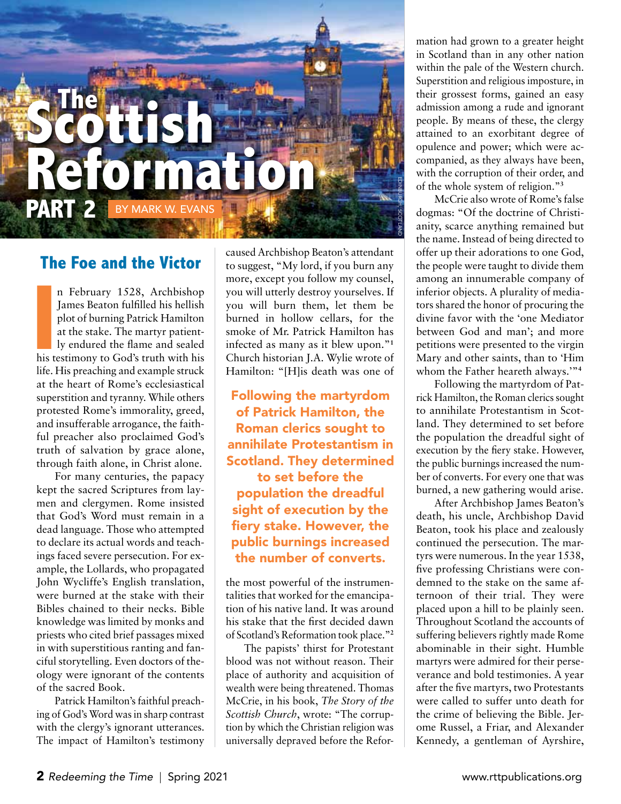

## **The Foe and the Victor**

n February 1528, Archbishop James Beaton fulfilled his hellish plot of burning Patrick Hamilton at the stake. The martyr patiently endured the flame and sealed n February 1528, Archbishop<br>James Beaton fulfilled his hellish<br>plot of burning Patrick Hamilton<br>at the stake. The martyr patient-<br>ly endured the flame and sealed<br>his testimony to God's truth with his life. His preaching and example struck at the heart of Rome's ecclesiastical superstition and tyranny. While others protested Rome's immorality, greed, and insufferable arrogance, the faithful preacher also proclaimed God's truth of salvation by grace alone, through faith alone, in Christ alone.

For many centuries, the papacy kept the sacred Scriptures from laymen and clergymen. Rome insisted that God's Word must remain in a dead language. Those who attempted to declare its actual words and teachings faced severe persecution. For example, the Lollards, who propagated John Wycliffe's English translation, were burned at the stake with their Bibles chained to their necks. Bible knowledge was limited by monks and priests who cited brief passages mixed in with superstitious ranting and fanciful storytelling. Even doctors of theology were ignorant of the contents of the sacred Book.

Patrick Hamilton's faithful preaching of God's Word was in sharp contrast with the clergy's ignorant utterances. The impact of Hamilton's testimony

caused Archbishop Beaton's attendant to suggest, "My lord, if you burn any more, except you follow my counsel, you will utterly destroy yourselves. If you will burn them, let them be burned in hollow cellars, for the smoke of Mr. Patrick Hamilton has infected as many as it blew upon."**<sup>1</sup>** Church historian J.A. Wylie wrote of Hamilton: "[H]is death was one of

Following the martyrdom of Patrick Hamilton, the Roman clerics sought to annihilate Protestantism in Scotland. They determined to set before the population the dreadful sight of execution by the fiery stake. However, the public burnings increased the number of converts.

the most powerful of the instrumentalities that worked for the emancipation of his native land. It was around his stake that the first decided dawn of Scotland's Reformation took place."**<sup>2</sup>**

The papists' thirst for Protestant blood was not without reason. Their place of authority and acquisition of wealth were being threatened. Thomas McCrie, in his book, *The Story of the Scottish Church*, wrote: "The corruption by which the Christian religion was universally depraved before the Reformation had grown to a greater height in Scotland than in any other nation within the pale of the Western church. Superstition and religious imposture, in their grossest forms, gained an easy admission among a rude and ignorant people. By means of these, the clergy attained to an exorbitant degree of opulence and power; which were accompanied, as they always have been, with the corruption of their order, and of the whole system of religion."**<sup>3</sup>**

McCrie also wrote of Rome's false dogmas: "Of the doctrine of Christianity, scarce anything remained but the name. Instead of being directed to offer up their adorations to one God, the people were taught to divide them among an innumerable company of inferior objects. A plurality of mediators shared the honor of procuring the divine favor with the 'one Mediator between God and man'; and more petitions were presented to the virgin Mary and other saints, than to 'Him whom the Father heareth always.'"**<sup>4</sup>**

Following the martyrdom of Patrick Hamilton, the Roman clerics sought to annihilate Protestantism in Scotland. They determined to set before the population the dreadful sight of execution by the fiery stake. However, the public burnings increased the number of converts. For every one that was burned, a new gathering would arise.

After Archbishop James Beaton's death, his uncle, Archbishop David Beaton, took his place and zealously continued the persecution. The martyrs were numerous. In the year 1538, five professing Christians were condemned to the stake on the same afternoon of their trial. They were placed upon a hill to be plainly seen. Throughout Scotland the accounts of suffering believers rightly made Rome abominable in their sight. Humble martyrs were admired for their perseverance and bold testimonies. A year after the five martyrs, two Protestants were called to suffer unto death for the crime of believing the Bible. Jerome Russel, a Friar, and Alexander Kennedy, a gentleman of Ayrshire,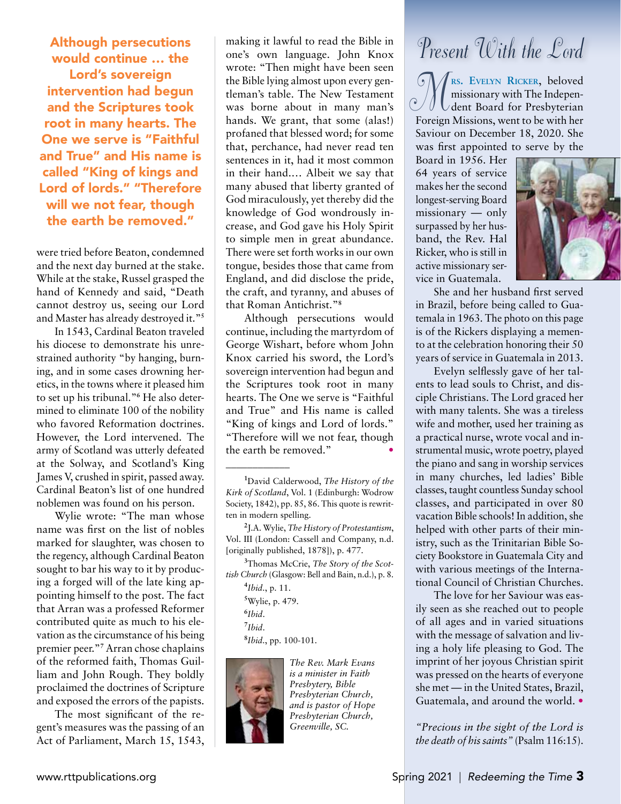Although persecutions would continue … the Lord's sovereign intervention had begun and the Scriptures took root in many hearts. The One we serve is "Faithful and True" and His name is called "King of kings and Lord of lords." "Therefore will we not fear, though the earth be removed."

were tried before Beaton, condemned and the next day burned at the stake. While at the stake, Russel grasped the hand of Kennedy and said, "Death cannot destroy us, seeing our Lord and Master has already destroyed it."**<sup>5</sup>**

In 1543, Cardinal Beaton traveled his diocese to demonstrate his unrestrained authority "by hanging, burning, and in some cases drowning heretics, in the towns where it pleased him to set up his tribunal."<sup>6</sup> He also determined to eliminate 100 of the nobility who favored Reformation doctrines. However, the Lord intervened. The army of Scotland was utterly defeated at the Solway, and Scotland's King James V, crushed in spirit, passed away. Cardinal Beaton's list of one hundred noblemen was found on his person.

Wylie wrote: "The man whose name was first on the list of nobles marked for slaughter, was chosen to the regency, although Cardinal Beaton sought to bar his way to it by producing a forged will of the late king appointing himself to the post. The fact that Arran was a professed Reformer contributed quite as much to his elevation as the circumstance of his being premier peer."**<sup>7</sup>** Arran chose chaplains of the reformed faith, Thomas Guilliam and John Rough. They boldly proclaimed the doctrines of Scripture and exposed the errors of the papists.

The most significant of the regent's measures was the passing of an Act of Parliament, March 15, 1543, making it lawful to read the Bible in one's own language. John Knox wrote: "Then might have been seen the Bible lying almost upon every gentleman's table. The New Testament was borne about in many man's hands. We grant, that some (alas!) profaned that blessed word; for some that, perchance, had never read ten sentences in it, had it most common in their hand.… Albeit we say that many abused that liberty granted of God miraculously, yet thereby did the knowledge of God wondrously increase, and God gave his Holy Spirit to simple men in great abundance. There were set forth works in our own tongue, besides those that came from England, and did disclose the pride, the craft, and tyranny, and abuses of that Roman Antichrist."**<sup>8</sup>**

Although persecutions would continue, including the martyrdom of George Wishart, before whom John Knox carried his sword, the Lord's sovereign intervention had begun and the Scriptures took root in many hearts. The One we serve is "Faithful and True" and His name is called "King of kings and Lord of lords." "Therefore will we not fear, though the earth be removed."•

**3** Thomas McCrie, *The Story of the Scottish Church* (Glasgow: Bell and Bain, n.d.), p. 8.

> **4** *Ibid.*, p. 11. **5** Wylie, p. 479. **6** *Ibid*. **7** *Ibid*.

\_\_\_\_\_\_\_\_\_\_\_\_

**8** *Ibid.*, pp. 100-101.



*The Rev. Mark Evans is a minister in Faith Presbytery, Bible Presbyterian Church, and is pastor of Hope Presbyterian Church, Greenville, SC.*

# *Present With the Lord*

**rs. Evelyn Ricker**, beloved missionary with The Independent Board for Presbyterian **Foreign Missionary with The Independent**<br>Foreign Missions, went to be with her Saviour on December 18, 2020. She was first appointed to serve by the

Board in 1956. Her 64 years of service makes her the second longest-serving Board missionary — only surpassed by her husband, the Rev. Hal Ricker, who is still in active missionary service in Guatemala.



She and her husband first served in Brazil, before being called to Guatemala in 1963. The photo on this page is of the Rickers displaying a memento at the celebration honoring their 50 years of service in Guatemala in 2013.

Evelyn selflessly gave of her talents to lead souls to Christ, and disciple Christians. The Lord graced her with many talents. She was a tireless wife and mother, used her training as a practical nurse, wrote vocal and instrumental music, wrote poetry, played the piano and sang in worship services in many churches, led ladies' Bible classes, taught countless Sunday school classes, and participated in over 80 vacation Bible schools! In addition, she helped with other parts of their ministry, such as the Trinitarian Bible Society Bookstore in Guatemala City and with various meetings of the International Council of Christian Churches.

The love for her Saviour was easily seen as she reached out to people of all ages and in varied situations with the message of salvation and living a holy life pleasing to God. The imprint of her joyous Christian spirit was pressed on the hearts of everyone she met — in the United States, Brazil, Guatemala, and around the world. •

*"Precious in the sight of the Lord is the death of his saints"* (Psalm 116:15).

**<sup>1</sup>** David Calderwood, *The History of the Kirk of Scotland*, Vol. 1 (Edinburgh: Wodrow Society, 1842), pp. 85, 86. This quote is rewritten in modern spelling.

**<sup>2</sup>** J.A. Wylie, *The History of Protestantism*, Vol. III (London: Cassell and Company, n.d. [originally published, 1878]), p. 477.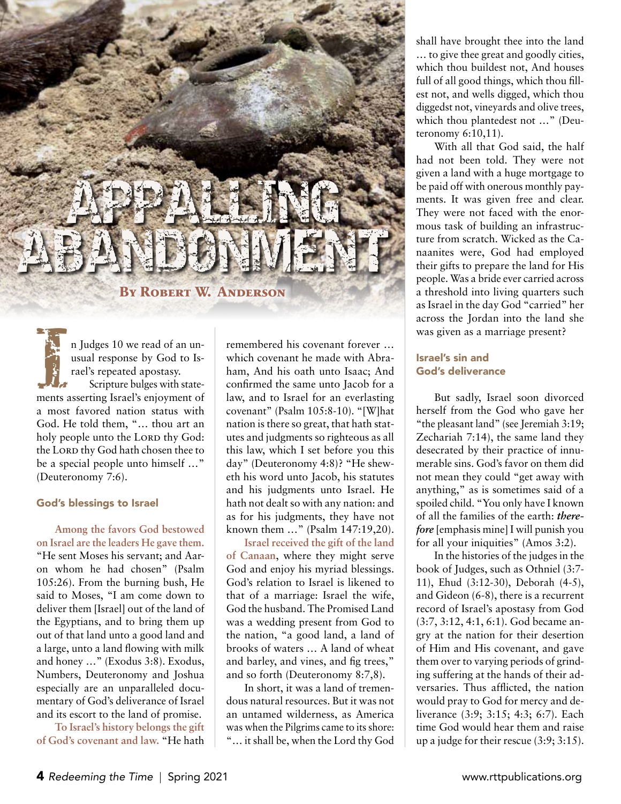# APPALLING ABANDONMENT

#### **By Robert W. Anderson**

In Judges 10 we read of an unusual response by God to Israel's repeated apostasy.<br>
Scripture bulges with stateusual response by God to Israel's repeated apostasy. Scripture bulges with statements asserting Israel's enjoyment of a most favored nation status with God. He told them, "… thou art an holy people unto the LORD thy God: the LORD thy God hath chosen thee to be a special people unto himself …" (Deuteronomy 7:6).

#### God's blessings to Israel

**Among the favors God bestowed on Israel are the leaders He gave them.**  "He sent Moses his servant; and Aaron whom he had chosen" (Psalm 105:26). From the burning bush, He said to Moses, "I am come down to deliver them [Israel] out of the land of the Egyptians, and to bring them up out of that land unto a good land and a large, unto a land flowing with milk and honey …" (Exodus 3:8). Exodus, Numbers, Deuteronomy and Joshua especially are an unparalleled documentary of God's deliverance of Israel and its escort to the land of promise.

**To Israel's history belongs the gift of God's covenant and law.** "He hath

remembered his covenant forever … which covenant he made with Abraham, And his oath unto Isaac; And confirmed the same unto Jacob for a law, and to Israel for an everlasting covenant" (Psalm 105:8-10). "[W]hat nation is there so great, that hath statutes and judgments so righteous as all this law, which I set before you this day" (Deuteronomy 4:8)? "He sheweth his word unto Jacob, his statutes and his judgments unto Israel. He hath not dealt so with any nation: and as for his judgments, they have not known them …" (Psalm 147:19,20).

**Israel received the gift of the land of Canaan**, where they might serve God and enjoy his myriad blessings. God's relation to Israel is likened to that of a marriage: Israel the wife, God the husband. The Promised Land was a wedding present from God to the nation, "a good land, a land of brooks of waters … A land of wheat and barley, and vines, and fig trees," and so forth (Deuteronomy 8:7,8).

In short, it was a land of tremendous natural resources. But it was not an untamed wilderness, as America was when the Pilgrims came to its shore: "… it shall be, when the Lord thy God shall have brought thee into the land … to give thee great and goodly cities, which thou buildest not, And houses full of all good things, which thou fillest not, and wells digged, which thou diggedst not, vineyards and olive trees, which thou plantedest not ..." (Deuteronomy 6:10,11).

With all that God said, the half had not been told. They were not given a land with a huge mortgage to be paid off with onerous monthly payments. It was given free and clear. They were not faced with the enormous task of building an infrastructure from scratch. Wicked as the Canaanites were, God had employed their gifts to prepare the land for His people. Was a bride ever carried across a threshold into living quarters such as Israel in the day God "carried" her across the Jordan into the land she was given as a marriage present?

#### Israel's sin and God's deliverance

But sadly, Israel soon divorced herself from the God who gave her "the pleasant land" (see Jeremiah 3:19; Zechariah 7:14), the same land they desecrated by their practice of innumerable sins. God's favor on them did not mean they could "get away with anything," as is sometimes said of a spoiled child. "You only have I known of all the families of the earth: *therefore* [emphasis mine] I will punish you for all your iniquities" (Amos 3:2).

In the histories of the judges in the book of Judges, such as Othniel (3:7- 11), Ehud (3:12-30), Deborah (4-5), and Gideon (6-8), there is a recurrent record of Israel's apostasy from God (3:7, 3:12, 4:1, 6:1). God became angry at the nation for their desertion of Him and His covenant, and gave them over to varying periods of grinding suffering at the hands of their adversaries. Thus afflicted, the nation would pray to God for mercy and deliverance (3:9; 3:15; 4:3; 6:7). Each time God would hear them and raise up a judge for their rescue (3:9; 3:15).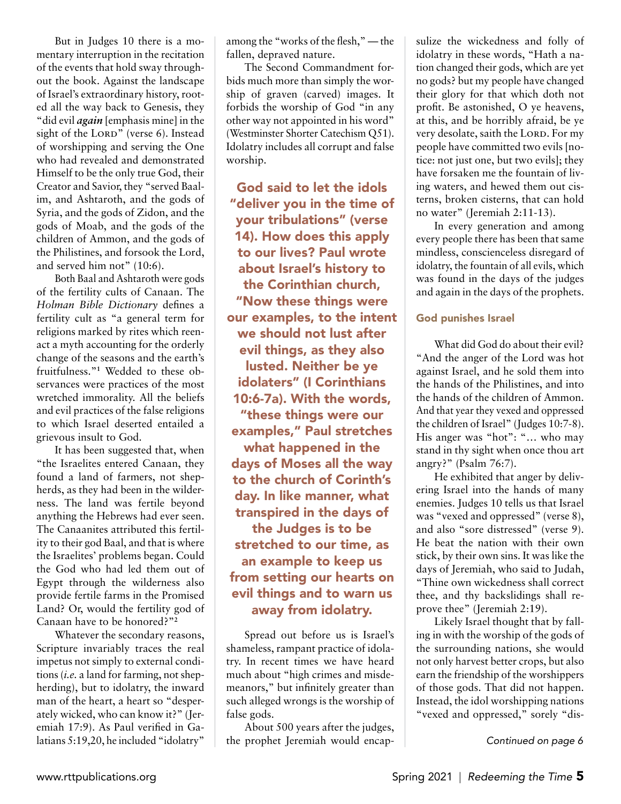But in Judges 10 there is a momentary interruption in the recitation of the events that hold sway throughout the book. Against the landscape of Israel's extraordinary history, rooted all the way back to Genesis, they "did evil *again* [emphasis mine] in the sight of the LORD" (verse 6). Instead of worshipping and serving the One who had revealed and demonstrated Himself to be the only true God, their Creator and Savior, they "served Baalim, and Ashtaroth, and the gods of Syria, and the gods of Zidon, and the gods of Moab, and the gods of the children of Ammon, and the gods of the Philistines, and forsook the Lord, and served him not" (10:6).

Both Baal and Ashtaroth were gods of the fertility cults of Canaan. The *Holman Bible Dictionary* defines a fertility cult as "a general term for religions marked by rites which reenact a myth accounting for the orderly change of the seasons and the earth's fruitfulness."**<sup>1</sup>** Wedded to these observances were practices of the most wretched immorality. All the beliefs and evil practices of the false religions to which Israel deserted entailed a grievous insult to God.

It has been suggested that, when "the Israelites entered Canaan, they found a land of farmers, not shepherds, as they had been in the wilderness. The land was fertile beyond anything the Hebrews had ever seen. The Canaanites attributed this fertility to their god Baal, and that is where the Israelites' problems began. Could the God who had led them out of Egypt through the wilderness also provide fertile farms in the Promised Land? Or, would the fertility god of Canaan have to be honored?"**<sup>2</sup>**

Whatever the secondary reasons, Scripture invariably traces the real impetus not simply to external conditions (*i.e.* a land for farming, not shepherding), but to idolatry, the inward man of the heart, a heart so "desperately wicked, who can know it?" (Jeremiah 17:9). As Paul verified in Galatians 5:19,20, he included "idolatry"

among the "works of the flesh," — the fallen, depraved nature.

The Second Commandment forbids much more than simply the worship of graven (carved) images. It forbids the worship of God "in any other way not appointed in his word" (Westminster Shorter Catechism Q51). Idolatry includes all corrupt and false worship.

God said to let the idols "deliver you in the time of your tribulations" (verse 14). How does this apply to our lives? Paul wrote about Israel's history to the Corinthian church, "Now these things were our examples, to the intent we should not lust after evil things, as they also lusted. Neither be ye idolaters" (I Corinthians 10:6-7a). With the words, "these things were our examples," Paul stretches what happened in the days of Moses all the way to the church of Corinth's day. In like manner, what transpired in the days of the Judges is to be stretched to our time, as an example to keep us from setting our hearts on evil things and to warn us away from idolatry.

Spread out before us is Israel's shameless, rampant practice of idolatry. In recent times we have heard much about "high crimes and misdemeanors," but infinitely greater than such alleged wrongs is the worship of false gods.

About 500 years after the judges, the prophet Jeremiah would encapsulize the wickedness and folly of idolatry in these words, "Hath a nation changed their gods, which are yet no gods? but my people have changed their glory for that which doth not profit. Be astonished, O ye heavens, at this, and be horribly afraid, be ye very desolate, saith the LORD. For my people have committed two evils [notice: not just one, but two evils]; they have forsaken me the fountain of living waters, and hewed them out cisterns, broken cisterns, that can hold no water" (Jeremiah 2:11-13).

In every generation and among every people there has been that same mindless, conscienceless disregard of idolatry, the fountain of all evils, which was found in the days of the judges and again in the days of the prophets.

#### God punishes Israel

What did God do about their evil? "And the anger of the Lord was hot against Israel, and he sold them into the hands of the Philistines, and into the hands of the children of Ammon. And that year they vexed and oppressed the children of Israel" (Judges 10:7-8). His anger was "hot": "… who may stand in thy sight when once thou art angry?" (Psalm 76:7).

He exhibited that anger by delivering Israel into the hands of many enemies. Judges 10 tells us that Israel was "vexed and oppressed" (verse 8), and also "sore distressed" (verse 9). He beat the nation with their own stick, by their own sins. It was like the days of Jeremiah, who said to Judah, "Thine own wickedness shall correct thee, and thy backslidings shall reprove thee" (Jeremiah 2:19).

Likely Israel thought that by falling in with the worship of the gods of the surrounding nations, she would not only harvest better crops, but also earn the friendship of the worshippers of those gods. That did not happen. Instead, the idol worshipping nations "vexed and oppressed," sorely "dis-

*Continued on page 6*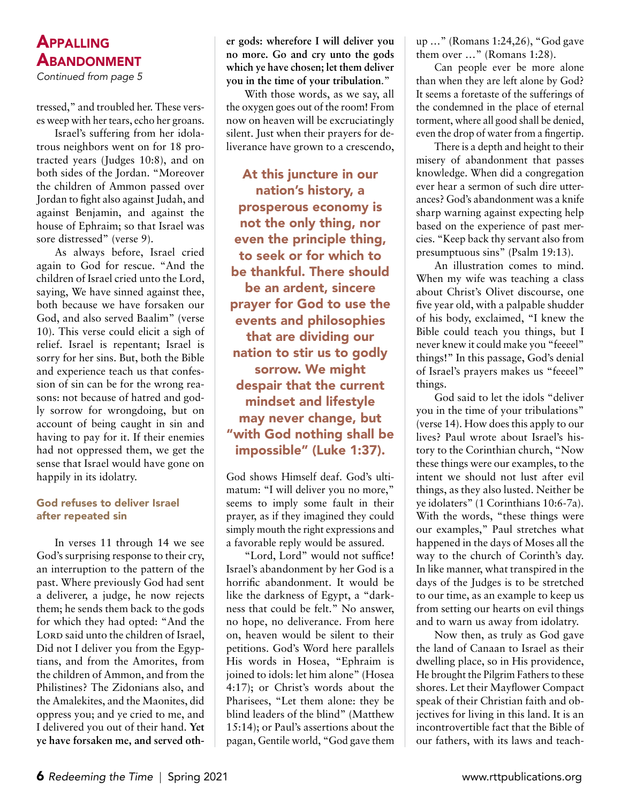# **APPALLING ABANDONMENT**

Continued from page 5

tressed," and troubled her. These verses weep with her tears, echo her groans.

Israel's suffering from her idolatrous neighbors went on for 18 protracted years (Judges 10:8), and on both sides of the Jordan. "Moreover the children of Ammon passed over Jordan to fight also against Judah, and against Benjamin, and against the house of Ephraim; so that Israel was sore distressed" (verse 9).

As always before, Israel cried again to God for rescue. "And the children of Israel cried unto the Lord, saying, We have sinned against thee, both because we have forsaken our God, and also served Baalim" (verse 10). This verse could elicit a sigh of relief. Israel is repentant; Israel is sorry for her sins. But, both the Bible and experience teach us that confession of sin can be for the wrong reasons: not because of hatred and godly sorrow for wrongdoing, but on account of being caught in sin and having to pay for it. If their enemies had not oppressed them, we get the sense that Israel would have gone on happily in its idolatry.

#### God refuses to deliver Israel after repeated sin

In verses 11 through 14 we see God's surprising response to their cry, an interruption to the pattern of the past. Where previously God had sent a deliverer, a judge, he now rejects them; he sends them back to the gods for which they had opted: "And the LORD said unto the children of Israel, Did not I deliver you from the Egyptians, and from the Amorites, from the children of Ammon, and from the Philistines? The Zidonians also, and the Amalekites, and the Maonites, did oppress you; and ye cried to me, and I delivered you out of their hand. **Yet ye have forsaken me, and served oth-** **er gods: wherefore I will deliver you no more. Go and cry unto the gods which ye have chosen; let them deliver you in the time of your tribulation**."

With those words, as we say, all the oxygen goes out of the room! From now on heaven will be excruciatingly silent. Just when their prayers for deliverance have grown to a crescendo,

At this juncture in our nation's history, a prosperous economy is not the only thing, nor even the principle thing, to seek or for which to be thankful. There should be an ardent, sincere prayer for God to use the events and philosophies that are dividing our nation to stir us to godly sorrow. We might despair that the current mindset and lifestyle may never change, but "with God nothing shall be impossible" (Luke 1:37).

God shows Himself deaf. God's ultimatum: "I will deliver you no more," seems to imply some fault in their prayer, as if they imagined they could simply mouth the right expressions and a favorable reply would be assured.

"Lord, Lord" would not suffice! Israel's abandonment by her God is a horrific abandonment. It would be like the darkness of Egypt, a "darkness that could be felt." No answer, no hope, no deliverance. From here on, heaven would be silent to their petitions. God's Word here parallels His words in Hosea, "Ephraim is joined to idols: let him alone" (Hosea 4:17); or Christ's words about the Pharisees, "Let them alone: they be blind leaders of the blind" (Matthew 15:14); or Paul's assertions about the pagan, Gentile world, "God gave them up …" (Romans 1:24,26), "God gave them over ..." (Romans 1:28).

Can people ever be more alone than when they are left alone by God? It seems a foretaste of the sufferings of the condemned in the place of eternal torment, where all good shall be denied, even the drop of water from a fingertip.

There is a depth and height to their misery of abandonment that passes knowledge. When did a congregation ever hear a sermon of such dire utterances? God's abandonment was a knife sharp warning against expecting help based on the experience of past mercies. "Keep back thy servant also from presumptuous sins" (Psalm 19:13).

An illustration comes to mind. When my wife was teaching a class about Christ's Olivet discourse, one five year old, with a palpable shudder of his body, exclaimed, "I knew the Bible could teach you things, but I never knew it could make you "feeeel" things!" In this passage, God's denial of Israel's prayers makes us "feeeel" things.

God said to let the idols "deliver you in the time of your tribulations" (verse 14). How does this apply to our lives? Paul wrote about Israel's history to the Corinthian church, "Now these things were our examples, to the intent we should not lust after evil things, as they also lusted. Neither be ye idolaters" (1 Corinthians 10:6-7a). With the words, "these things were our examples," Paul stretches what happened in the days of Moses all the way to the church of Corinth's day. In like manner, what transpired in the days of the Judges is to be stretched to our time, as an example to keep us from setting our hearts on evil things and to warn us away from idolatry.

Now then, as truly as God gave the land of Canaan to Israel as their dwelling place, so in His providence, He brought the Pilgrim Fathers to these shores. Let their Mayflower Compact speak of their Christian faith and objectives for living in this land. It is an incontrovertible fact that the Bible of our fathers, with its laws and teach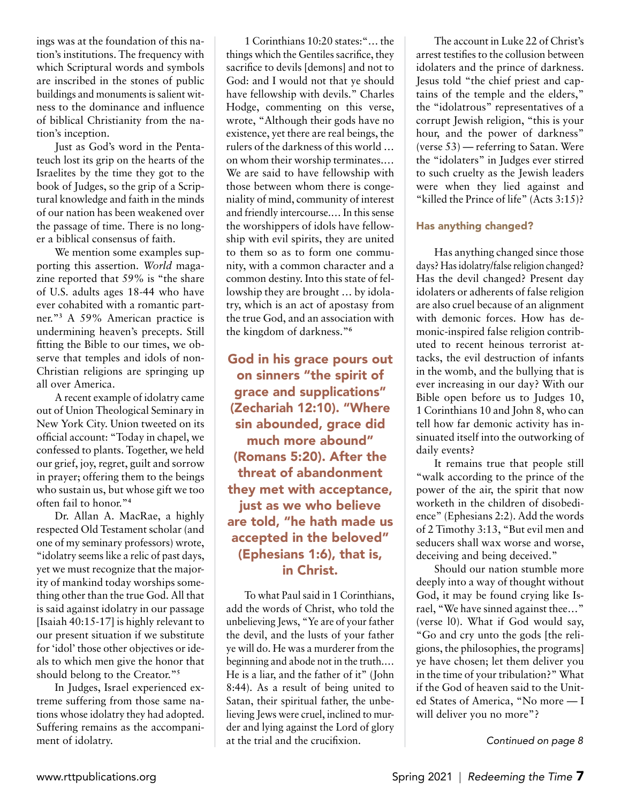ings was at the foundation of this nation's institutions. The frequency with which Scriptural words and symbols are inscribed in the stones of public buildings and monuments is salient witness to the dominance and influence of biblical Christianity from the nation's inception.

Just as God's word in the Pentateuch lost its grip on the hearts of the Israelites by the time they got to the book of Judges, so the grip of a Scriptural knowledge and faith in the minds of our nation has been weakened over the passage of time. There is no longer a biblical consensus of faith.

We mention some examples supporting this assertion. *World* magazine reported that 59% is "the share of U.S. adults ages 18-44 who have ever cohabited with a romantic partner."**<sup>3</sup>** A 59% American practice is undermining heaven's precepts. Still fitting the Bible to our times, we observe that temples and idols of non-Christian religions are springing up all over America.

A recent example of idolatry came out of Union Theological Seminary in New York City. Union tweeted on its official account: "Today in chapel, we confessed to plants. Together, we held our grief, joy, regret, guilt and sorrow in prayer; offering them to the beings who sustain us, but whose gift we too often fail to honor."**<sup>4</sup>**

Dr. Allan A. MacRae, a highly respected Old Testament scholar (and one of my seminary professors) wrote, "idolatry seems like a relic of past days, yet we must recognize that the majority of mankind today worships something other than the true God. All that is said against idolatry in our passage [Isaiah 40:15-17] is highly relevant to our present situation if we substitute for 'idol' those other objectives or ideals to which men give the honor that should belong to the Creator."**<sup>5</sup>**

In Judges, Israel experienced extreme suffering from those same nations whose idolatry they had adopted. Suffering remains as the accompaniment of idolatry.

1 Corinthians 10:20 states:"… the things which the Gentiles sacrifice, they sacrifice to devils [demons] and not to God: and I would not that ye should have fellowship with devils." Charles Hodge, commenting on this verse, wrote, "Although their gods have no existence, yet there are real beings, the rulers of the darkness of this world … on whom their worship terminates.… We are said to have fellowship with those between whom there is congeniality of mind, community of interest and friendly intercourse.… In this sense the worshippers of idols have fellowship with evil spirits, they are united to them so as to form one community, with a common character and a common destiny. Into this state of fellowship they are brought … by idolatry, which is an act of apostasy from the true God, and an association with the kingdom of darkness."**<sup>6</sup>**

God in his grace pours out on sinners "the spirit of grace and supplications" (Zechariah 12:10). "Where sin abounded, grace did much more abound" (Romans 5:20). After the threat of abandonment they met with acceptance, just as we who believe are told, "he hath made us accepted in the beloved" (Ephesians 1:6), that is, in Christ.

To what Paul said in 1 Corinthians, add the words of Christ, who told the unbelieving Jews, "Ye are of your father the devil, and the lusts of your father ye will do. He was a murderer from the beginning and abode not in the truth.… He is a liar, and the father of it" (John 8:44). As a result of being united to Satan, their spiritual father, the unbelieving Jews were cruel, inclined to murder and lying against the Lord of glory at the trial and the crucifixion.

The account in Luke 22 of Christ's arrest testifies to the collusion between idolaters and the prince of darkness. Jesus told "the chief priest and captains of the temple and the elders," the "idolatrous" representatives of a corrupt Jewish religion, "this is your hour, and the power of darkness" (verse 53) — referring to Satan. Were the "idolaters" in Judges ever stirred to such cruelty as the Jewish leaders were when they lied against and "killed the Prince of life" (Acts 3:15)?

#### Has anything changed?

Has anything changed since those days? Has idolatry/false religion changed? Has the devil changed? Present day idolaters or adherents of false religion are also cruel because of an alignment with demonic forces. How has demonic-inspired false religion contributed to recent heinous terrorist attacks, the evil destruction of infants in the womb, and the bullying that is ever increasing in our day? With our Bible open before us to Judges 10, 1 Corinthians 10 and John 8, who can tell how far demonic activity has insinuated itself into the outworking of daily events?

It remains true that people still "walk according to the prince of the power of the air, the spirit that now worketh in the children of disobedience" (Ephesians 2:2). Add the words of 2 Timothy 3:13, "But evil men and seducers shall wax worse and worse, deceiving and being deceived."

Should our nation stumble more deeply into a way of thought without God, it may be found crying like Israel, "We have sinned against thee…" (verse l0). What if God would say, "Go and cry unto the gods [the religions, the philosophies, the programs] ye have chosen; let them deliver you in the time of your tribulation?" What if the God of heaven said to the United States of America, "No more — I will deliver you no more"?

*Continued on page 8*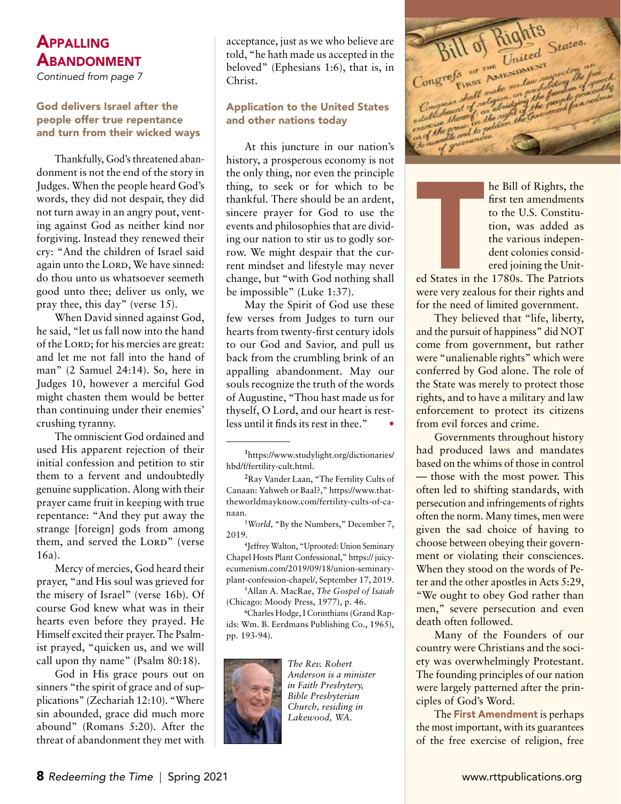# **APPALLING ABANDONMENT**

Continued from page 7

#### God delivers Israel after the people offer true repentance and turn from their wicked ways

Thankfully, God's threatened abandonment is not the end of the story in Judges. When the people heard God's words, they did not despair, they did not turn away in an angry pout, venting against God as neither kind nor forgiving. Instead they renewed their cry: "And the children of Israel said again unto the LORD, We have sinned: do thou unto us whatsoever seemeth good unto thee; deliver us only, we pray thee, this day" (verse 15).

When David sinned against God, he said, "let us fall now into the hand of the Lord; for his mercies are great: and let me not fall into the hand of man" (2 Samuel 24:14). So, here in Judges 10, however a merciful God might chasten them would be better than continuing under their enemies' crushing tyranny.

The omniscient God ordained and used His apparent rejection of their initial confession and petition to stir them to a fervent and undoubtedly genuine supplication. Along with their prayer came fruit in keeping with true repentance: "And they put away the strange [foreign] gods from among them, and served the LORD" (verse 16a).

Mercy of mercies, God heard their prayer, "and His soul was grieved for the misery of Israel" (verse 16b). Of course God knew what was in their hearts even before they prayed. He Himself excited their prayer. The Psalmist prayed, "quicken us, and we will call upon thy name" (Psalm 80:18).

God in His grace pours out on sinners "the spirit of grace and of supplications" (Zechariah 12:10). "Where sin abounded, grace did much more abound" (Romans 5:20). After the threat of abandonment they met with acceptance, just as we who believe are told, "he hath made us accepted in the beloved" (Ephesians 1:6), that is, in Christ.

#### Application to the United States and other nations today

At this juncture in our nation's history, a prosperous economy is not the only thing, nor even the principle thing, to seek or for which to be thankful. There should be an ardent, sincere prayer for God to use the events and philosophies that are dividing our nation to stir us to godly sorrow. We might despair that the current mindset and lifestyle may never change, but "with God nothing shall be impossible" (Luke 1:37).

May the Spirit of God use these few verses from Judges to turn our hearts from twenty-first century idols to our God and Savior, and pull us back from the crumbling brink of an appalling abandonment. May our souls recognize the truth of the words of Augustine, "Thou hast made us for thyself, O Lord, and our heart is restless until it finds its rest in thee." •

**2** Ray Vander Laan, "The Fertility Cults of Canaan: Yahweh or Baal?," https://www.thattheworldmayknow.com/fertility-cults-of-canaan.

**3** *World,* "By the Numbers," December 7, 2019.

**4** Jeffrey Walton, "Uprooted: Union Seminary Chapel Hosts Plant Confessional," https:// juicyecumenism.com/2019/09/18/union-seminaryplant-confession-chapel/, September 17, 2019.

**5** Allan A. MacRae, *The Gospel of Isaiah* (Chicago: Moody Press, 1977), p. 46.

**6** Charles Hodge, I Corinthians (Grand Rapids: Wm. B. Eerdmans Publishing Co., 1965), pp. 193-94).



\_\_\_\_\_\_\_\_\_\_\_\_

*The Rev. Robert Anderson is a minister in Faith Presbytery, Bible Presbyterian Church, residing in Lakewood, WA.*

Bill of Rights States. Congress or the notes and the figure

he Bill of Rights, the first ten amendments to the U.S. Constitution, was added as the various independent colonies considered joining the Unit-

Example 1<br>The States in the very zealor<br>Were very zealor ed States in the 1780s. The Patriots were very zealous for their rights and for the need of limited government.

They believed that "life, liberty, and the pursuit of happiness" did NOT come from government, but rather were "unalienable rights" which were conferred by God alone. The role of the State was merely to protect those rights, and to have a military and law enforcement to protect its citizens from evil forces and crime.

Governments throughout history had produced laws and mandates based on the whims of those in control — those with the most power. This often led to shifting standards, with persecution and infringements of rights often the norm. Many times, men were given the sad choice of having to choose between obeying their government or violating their consciences. When they stood on the words of Peter and the other apostles in Acts 5:29, "We ought to obey God rather than men," severe persecution and even death often followed.

Many of the Founders of our country were Christians and the society was overwhelmingly Protestant. The founding principles of our nation were largely patterned after the principles of God's Word.

The First Amendment is perhaps the most important, with its guarantees of the free exercise of religion, free

**<sup>1</sup>** https://www.studylight.org/dictionaries/ hbd/f/fertility-cult.html.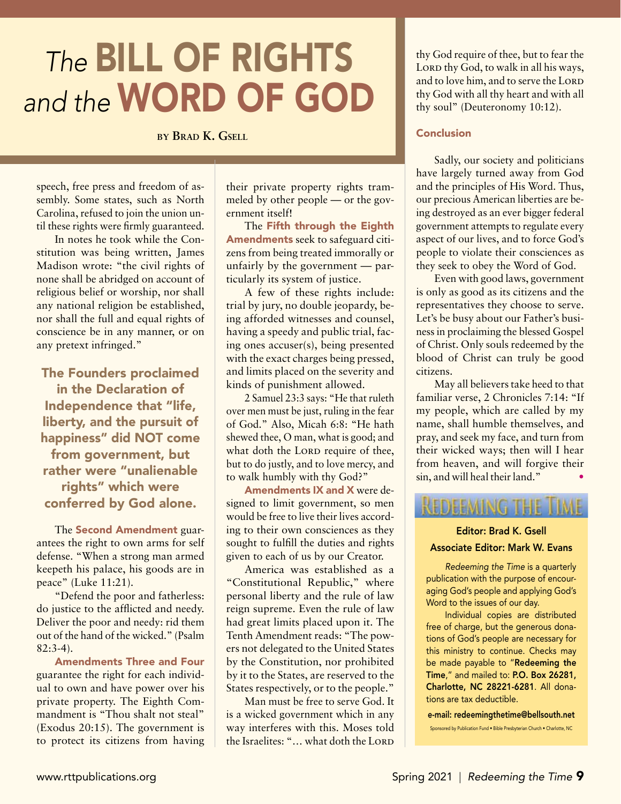# *The* Bill of Rights and the **WORD OF GOD**

**by Brad K. Gsell**

speech, free press and freedom of assembly. Some states, such as North Carolina, refused to join the union until these rights were firmly guaranteed.

In notes he took while the Constitution was being written, James Madison wrote: "the civil rights of none shall be abridged on account of religious belief or worship, nor shall any national religion be established, nor shall the full and equal rights of conscience be in any manner, or on any pretext infringed."

The Founders proclaimed in the Declaration of Independence that "life, liberty, and the pursuit of happiness" did NOT come from government, but rather were "unalienable rights" which were conferred by God alone.

The Second Amendment guarantees the right to own arms for self defense. "When a strong man armed keepeth his palace, his goods are in peace" (Luke 11:21).

"Defend the poor and fatherless: do justice to the afflicted and needy. Deliver the poor and needy: rid them out of the hand of the wicked." (Psalm 82:3-4).

Amendments Three and Four guarantee the right for each individual to own and have power over his private property. The Eighth Commandment is "Thou shalt not steal" (Exodus 20:15). The government is to protect its citizens from having

their private property rights trammeled by other people — or the government itself!

The Fifth through the Eighth Amendments seek to safeguard citizens from being treated immorally or unfairly by the government — particularly its system of justice.

A few of these rights include: trial by jury, no double jeopardy, being afforded witnesses and counsel, having a speedy and public trial, facing ones accuser(s), being presented with the exact charges being pressed, and limits placed on the severity and kinds of punishment allowed.

2 Samuel 23:3 says: "He that ruleth over men must be just, ruling in the fear of God." Also, Micah 6:8: "He hath shewed thee, O man, what is good; and what doth the LORD require of thee, but to do justly, and to love mercy, and to walk humbly with thy God?"

Amendments IX and X were designed to limit government, so men would be free to live their lives according to their own consciences as they sought to fulfill the duties and rights given to each of us by our Creator.

America was established as a "Constitutional Republic," where personal liberty and the rule of law reign supreme. Even the rule of law had great limits placed upon it. The Tenth Amendment reads: "The powers not delegated to the United States by the Constitution, nor prohibited by it to the States, are reserved to the States respectively, or to the people."

Man must be free to serve God. It is a wicked government which in any way interferes with this. Moses told the Israelites: "... what doth the LORD thy God require of thee, but to fear the LORD thy God, to walk in all his ways, and to love him, and to serve the LORD thy God with all thy heart and with all thy soul" (Deuteronomy 10:12).

#### Conclusion

Sadly, our society and politicians have largely turned away from God and the principles of His Word. Thus, our precious American liberties are being destroyed as an ever bigger federal government attempts to regulate every aspect of our lives, and to force God's people to violate their consciences as they seek to obey the Word of God.

Even with good laws, government is only as good as its citizens and the representatives they choose to serve. Let's be busy about our Father's business in proclaiming the blessed Gospel of Christ. Only souls redeemed by the blood of Christ can truly be good citizens.

May all believers take heed to that familiar verse, 2 Chronicles 7:14: "If my people, which are called by my name, shall humble themselves, and pray, and seek my face, and turn from their wicked ways; then will I hear from heaven, and will forgive their sin, and will heal their land."

# **REDEEMING THE TIME**

#### Editor: Brad K. Gsell Associate Editor: Mark W. Evans

*Redeeming the Time* is a quarterly publication with the purpose of encouraging God's people and applying God's Word to the issues of our day.

Individual copies are distributed free of charge, but the generous donations of God's people are necessary for this ministry to continue. Checks may be made payable to "Redeeming the Time," and mailed to: P.O. Box 26281, Charlotte, NC 28221-6281. All donations are tax deductible.

e-mail: redeemingthetime@bellsouth.net Sponsored by Publication Fund • Bible Presbyterian Church • Charlotte, NC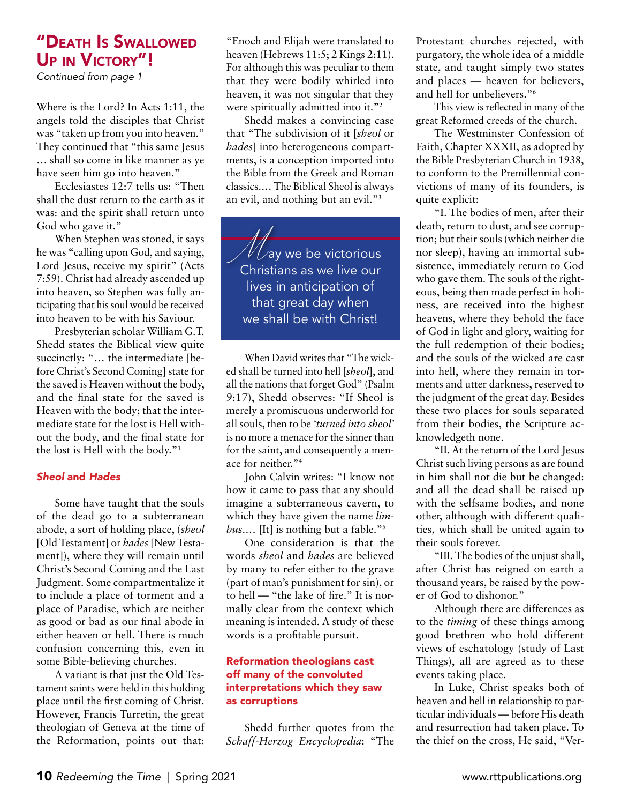# "Death Is Swallowed UP IN VICTORY"!

Continued from page 1

Where is the Lord? In Acts 1:11, the angels told the disciples that Christ was "taken up from you into heaven." They continued that "this same Jesus … shall so come in like manner as ye have seen him go into heaven."

Ecclesiastes 12:7 tells us: "Then shall the dust return to the earth as it was: and the spirit shall return unto God who gave it."

When Stephen was stoned, it says he was "calling upon God, and saying, Lord Jesus, receive my spirit" (Acts 7:59). Christ had already ascended up into heaven, so Stephen was fully anticipating that his soul would be received into heaven to be with his Saviour.

Presbyterian scholar William G.T. Shedd states the Biblical view quite succinctly: "... the intermediate [before Christ's Second Coming] state for the saved is Heaven without the body, and the final state for the saved is Heaven with the body; that the intermediate state for the lost is Hell without the body, and the final state for the lost is Hell with the body."**<sup>1</sup>**

#### *Sheol* and *Hades*

Some have taught that the souls of the dead go to a subterranean abode, a sort of holding place, (*sheol* [Old Testament] or *hades* [New Testament]), where they will remain until Christ's Second Coming and the Last Judgment. Some compartmentalize it to include a place of torment and a place of Paradise, which are neither as good or bad as our final abode in either heaven or hell. There is much confusion concerning this, even in some Bible-believing churches.

A variant is that just the Old Testament saints were held in this holding place until the first coming of Christ. However, Francis Turretin, the great theologian of Geneva at the time of the Reformation, points out that:

"Enoch and Elijah were translated to heaven (Hebrews 11:5; 2 Kings 2:11). For although this was peculiar to them that they were bodily whirled into heaven, it was not singular that they were spiritually admitted into it."**<sup>2</sup>**

Shedd makes a convincing case that "The subdivision of it [*sheol* or *hades*] into heterogeneous compartments, is a conception imported into the Bible from the Greek and Roman classics.… The Biblical Sheol is always an evil, and nothing but an evil."**<sup>3</sup>**

*M*<br>Christians as we live our Christians as we live our lives in anticipation of that great day when we shall be with Christ!

When David writes that "The wicked shall be turned into hell [*sheol*], and all the nations that forget God" (Psalm 9:17), Shedd observes: "If Sheol is merely a promiscuous underworld for all souls, then to be *'turned into sheol'*  is no more a menace for the sinner than for the saint, and consequently a menace for neither."**<sup>4</sup>**

John Calvin writes: "I know not how it came to pass that any should imagine a subterraneous cavern, to which they have given the name *limbus....* [It] is nothing but a fable."<sup>5</sup>

One consideration is that the words *sheol* and *hades* are believed by many to refer either to the grave (part of man's punishment for sin), or to hell — "the lake of fire." It is normally clear from the context which meaning is intended. A study of these words is a profitable pursuit.

#### Reformation theologians cast off many of the convoluted interpretations which they saw as corruptions

Shedd further quotes from the *Schaff-Herzog Encyclopedia*: "The

Protestant churches rejected, with purgatory, the whole idea of a middle state, and taught simply two states and places — heaven for believers, and hell for unbelievers."**<sup>6</sup>**

This view is reflected in many of the great Reformed creeds of the church.

The Westminster Confession of Faith, Chapter XXXII, as adopted by the Bible Presbyterian Church in 1938, to conform to the Premillennial convictions of many of its founders, is quite explicit:

"I. The bodies of men, after their death, return to dust, and see corruption; but their souls (which neither die nor sleep), having an immortal subsistence, immediately return to God who gave them. The souls of the righteous, being then made perfect in holiness, are received into the highest heavens, where they behold the face of God in light and glory, waiting for the full redemption of their bodies; and the souls of the wicked are cast into hell, where they remain in torments and utter darkness, reserved to the judgment of the great day. Besides these two places for souls separated from their bodies, the Scripture acknowledgeth none.

"II. At the return of the Lord Jesus Christ such living persons as are found in him shall not die but be changed: and all the dead shall be raised up with the selfsame bodies, and none other, although with different qualities, which shall be united again to their souls forever.

"III. The bodies of the unjust shall, after Christ has reigned on earth a thousand years, be raised by the power of God to dishonor."

Although there are differences as to the *timing* of these things among good brethren who hold different views of eschatology (study of Last Things), all are agreed as to these events taking place.

In Luke, Christ speaks both of heaven and hell in relationship to particular individuals — before His death and resurrection had taken place. To the thief on the cross, He said, "Ver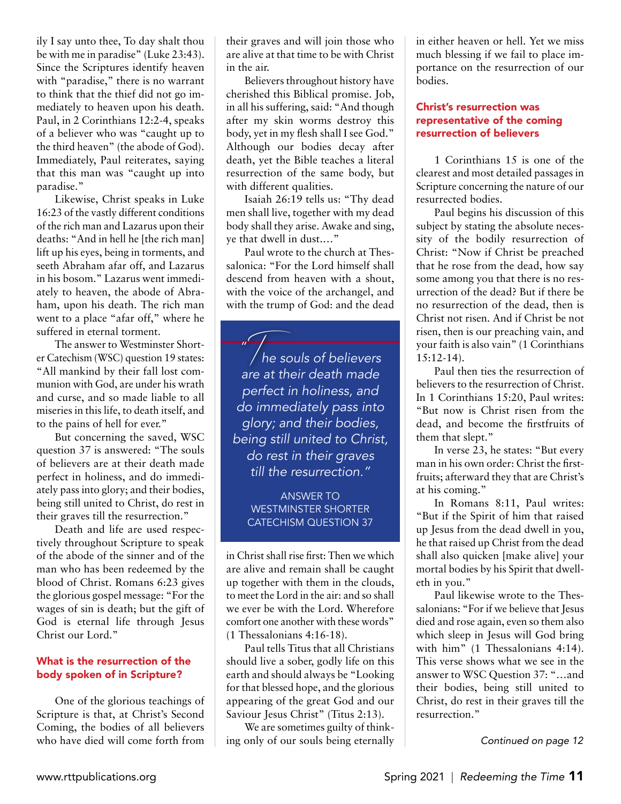ily I say unto thee, To day shalt thou be with me in paradise" (Luke 23:43). Since the Scriptures identify heaven with "paradise," there is no warrant to think that the thief did not go immediately to heaven upon his death. Paul, in 2 Corinthians 12:2-4, speaks of a believer who was "caught up to the third heaven" (the abode of God). Immediately, Paul reiterates, saying that this man was "caught up into paradise."

Likewise, Christ speaks in Luke 16:23 of the vastly different conditions of the rich man and Lazarus upon their deaths: "And in hell he [the rich man] lift up his eyes, being in torments, and seeth Abraham afar off, and Lazarus in his bosom." Lazarus went immediately to heaven, the abode of Abraham, upon his death. The rich man went to a place "afar off," where he suffered in eternal torment.

The answer to Westminster Shorter Catechism (WSC) question 19 states: "All mankind by their fall lost communion with God, are under his wrath and curse, and so made liable to all miseries in this life, to death itself, and to the pains of hell for ever."

But concerning the saved, WSC question 37 is answered: "The souls of believers are at their death made perfect in holiness, and do immediately pass into glory; and their bodies, being still united to Christ, do rest in their graves till the resurrection."

Death and life are used respectively throughout Scripture to speak of the abode of the sinner and of the man who has been redeemed by the blood of Christ. Romans 6:23 gives the glorious gospel message: "For the wages of sin is death; but the gift of God is eternal life through Jesus Christ our Lord."

#### What is the resurrection of the body spoken of in Scripture?

One of the glorious teachings of Scripture is that, at Christ's Second Coming, the bodies of all believers who have died will come forth from their graves and will join those who are alive at that time to be with Christ in the air.

Believers throughout history have cherished this Biblical promise. Job, in all his suffering, said: "And though after my skin worms destroy this body, yet in my flesh shall I see God." Although our bodies decay after death, yet the Bible teaches a literal resurrection of the same body, but with different qualities.

Isaiah 26:19 tells us: "Thy dead men shall live, together with my dead body shall they arise. Awake and sing, ye that dwell in dust.…"

Paul wrote to the church at Thessalonica: "For the Lord himself shall descend from heaven with a shout, with the voice of the archangel, and with the trump of God: and the dead

*"*

 $\sqrt{2}$  he souls of believers are at their death made perfect in holiness, and do immediately pass into glory; and their bodies, being still united to Christ, do rest in their graves till the resurrection."

Answer to Westminster Shorter CATECHISM QUESTION 37

in Christ shall rise first: Then we which are alive and remain shall be caught up together with them in the clouds, to meet the Lord in the air: and so shall we ever be with the Lord. Wherefore comfort one another with these words" (1 Thessalonians 4:16-18).

Paul tells Titus that all Christians should live a sober, godly life on this earth and should always be "Looking for that blessed hope, and the glorious appearing of the great God and our Saviour Jesus Christ" (Titus 2:13).

We are sometimes guilty of thinking only of our souls being eternally in either heaven or hell. Yet we miss much blessing if we fail to place importance on the resurrection of our bodies.

#### Christ's resurrection was representative of the coming resurrection of believers

1 Corinthians 15 is one of the clearest and most detailed passages in Scripture concerning the nature of our resurrected bodies.

Paul begins his discussion of this subject by stating the absolute necessity of the bodily resurrection of Christ: "Now if Christ be preached that he rose from the dead, how say some among you that there is no resurrection of the dead? But if there be no resurrection of the dead, then is Christ not risen. And if Christ be not risen, then is our preaching vain, and your faith is also vain" (1 Corinthians 15:12-14).

Paul then ties the resurrection of believers to the resurrection of Christ. In 1 Corinthians 15:20, Paul writes: "But now is Christ risen from the dead, and become the firstfruits of them that slept."

In verse 23, he states: "But every man in his own order: Christ the firstfruits; afterward they that are Christ's at his coming."

In Romans 8:11, Paul writes: "But if the Spirit of him that raised up Jesus from the dead dwell in you, he that raised up Christ from the dead shall also quicken [make alive] your mortal bodies by his Spirit that dwelleth in you."

Paul likewise wrote to the Thessalonians: "For if we believe that Jesus died and rose again, even so them also which sleep in Jesus will God bring with him" (1 Thessalonians 4:14). This verse shows what we see in the answer to WSC Question 37: "…and their bodies, being still united to Christ, do rest in their graves till the resurrection."

*Continued on page 12*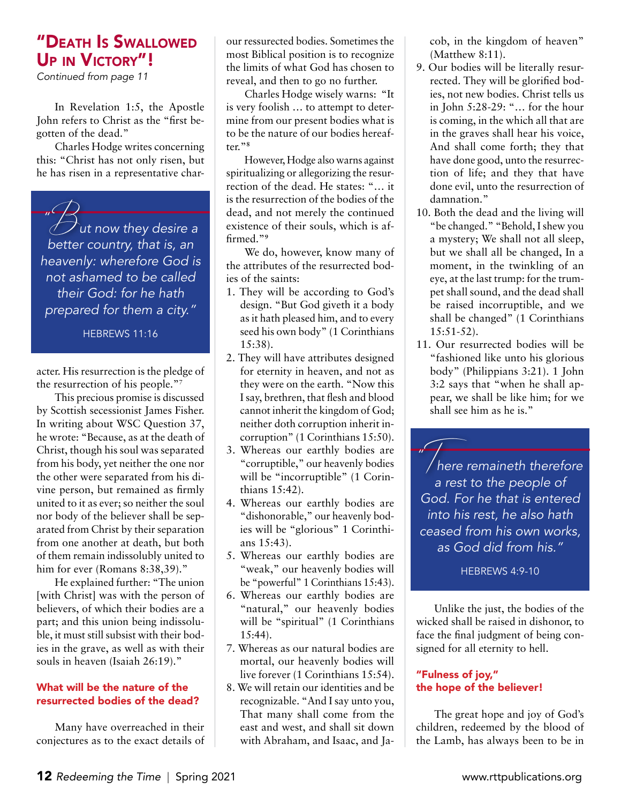# "Death Is Swallowed UP IN VICTORY"!

Continued from page 11

In Revelation 1:5, the Apostle John refers to Christ as the "first begotten of the dead."

Charles Hodge writes concerning this: "Christ has not only risen, but he has risen in a representative char-

*"*  $\beta$ ut now they desire a<br>better country, that is, an better country, that is, an heavenly: wherefore God is not ashamed to be called their God: for he hath prepared for them a city."

HEBREWS 11:16

acter. His resurrection is the pledge of the resurrection of his people."7

This precious promise is discussed by Scottish secessionist James Fisher. In writing about WSC Question 37, he wrote: "Because, as at the death of Christ, though his soul was separated from his body, yet neither the one nor the other were separated from his divine person, but remained as firmly united to it as ever; so neither the soul nor body of the believer shall be separated from Christ by their separation from one another at death, but both of them remain indissolubly united to him for ever (Romans 8:38,39)."

He explained further: "The union [with Christ] was with the person of believers, of which their bodies are a part; and this union being indissoluble, it must still subsist with their bodies in the grave, as well as with their souls in heaven (Isaiah 26:19)."

#### What will be the nature of the resurrected bodies of the dead?

Many have overreached in their conjectures as to the exact details of our ressurected bodies. Sometimes the most Biblical position is to recognize the limits of what God has chosen to reveal, and then to go no further.

Charles Hodge wisely warns: "It is very foolish … to attempt to determine from our present bodies what is to be the nature of our bodies hereafter."**<sup>8</sup>**

However, Hodge also warns against spiritualizing or allegorizing the resurrection of the dead. He states: "… it is the resurrection of the bodies of the dead, and not merely the continued existence of their souls, which is affirmed."**<sup>9</sup>**

We do, however, know many of the attributes of the resurrected bodies of the saints:

- 1. They will be according to God's design. "But God giveth it a body as it hath pleased him, and to every seed his own body" (1 Corinthians 15:38).
- 2. They will have attributes designed for eternity in heaven, and not as they were on the earth. "Now this I say, brethren, that flesh and blood cannot inherit the kingdom of God; neither doth corruption inherit incorruption" (1 Corinthians 15:50).
- 3. Whereas our earthly bodies are "corruptible," our heavenly bodies will be "incorruptible" (1 Corinthians 15:42).
- 4. Whereas our earthly bodies are "dishonorable," our heavenly bodies will be "glorious" 1 Corinthians 15:43).
- 5. Whereas our earthly bodies are "weak," our heavenly bodies will be "powerful" 1 Corinthians 15:43).
- 6. Whereas our earthly bodies are "natural," our heavenly bodies will be "spiritual" (1 Corinthians 15:44).
- 7. Whereas as our natural bodies are mortal, our heavenly bodies will live forever (1 Corinthians 15:54).
- 8. We will retain our identities and be recognizable. "And I say unto you, That many shall come from the east and west, and shall sit down with Abraham, and Isaac, and Ja-

cob, in the kingdom of heaven" (Matthew 8:11).

- 9. Our bodies will be literally resurrected. They will be glorified bodies, not new bodies. Christ tells us in John 5:28-29: "… for the hour is coming, in the which all that are in the graves shall hear his voice, And shall come forth; they that have done good, unto the resurrection of life; and they that have done evil, unto the resurrection of damnation."
- 10. Both the dead and the living will "be changed." "Behold, I shew you a mystery; We shall not all sleep, but we shall all be changed, In a moment, in the twinkling of an eye, at the last trump: for the trumpet shall sound, and the dead shall be raised incorruptible, and we shall be changed" (1 Corinthians 15:51-52).
- 11. Our resurrected bodies will be "fashioned like unto his glorious body" (Philippians 3:21). 1 John 3:2 says that "when he shall appear, we shall be like him; for we shall see him as he is."

*"* France remaineth therefore a rest to the people of God. For he that is entered into his rest, he also hath ceased from his own works, as God did from his." *"*

HEBREWS 4:9-10

Unlike the just, the bodies of the wicked shall be raised in dishonor, to face the final judgment of being consigned for all eternity to hell.

#### "Fulness of joy," the hope of the believer!

The great hope and joy of God's children, redeemed by the blood of the Lamb, has always been to be in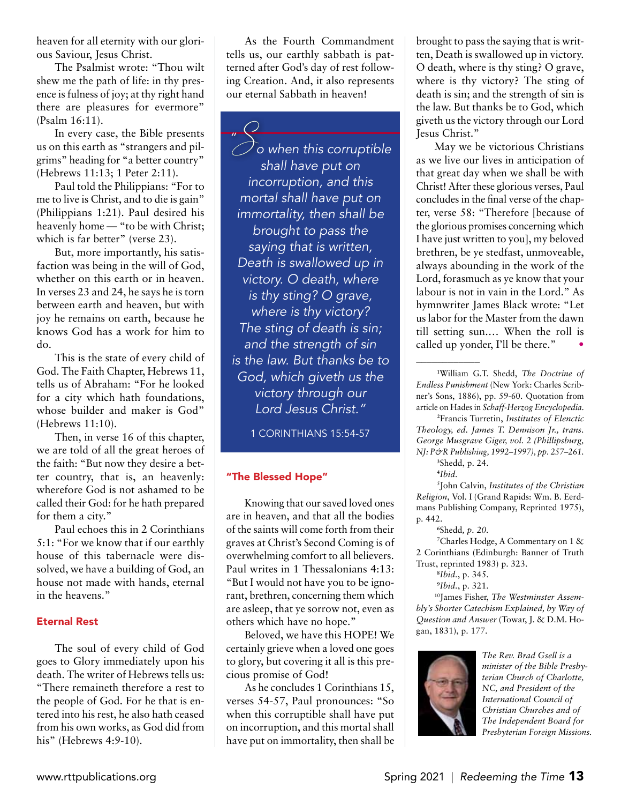heaven for all eternity with our glorious Saviour, Jesus Christ.

The Psalmist wrote: "Thou wilt shew me the path of life: in thy presence is fulness of joy; at thy right hand there are pleasures for evermore" (Psalm 16:11).

In every case, the Bible presents us on this earth as "strangers and pilgrims" heading for "a better country" (Hebrews 11:13; 1 Peter 2:11).

Paul told the Philippians: "For to me to live is Christ, and to die is gain" (Philippians 1:21). Paul desired his heavenly home — "to be with Christ; which is far better" (verse 23).

But, more importantly, his satisfaction was being in the will of God, whether on this earth or in heaven. In verses 23 and 24, he says he is torn between earth and heaven, but with joy he remains on earth, because he knows God has a work for him to do.

This is the state of every child of God. The Faith Chapter, Hebrews 11, tells us of Abraham: "For he looked for a city which hath foundations, whose builder and maker is God" (Hebrews 11:10).

Then, in verse 16 of this chapter, we are told of all the great heroes of the faith: "But now they desire a better country, that is, an heavenly: wherefore God is not ashamed to be called their God: for he hath prepared for them a city."

Paul echoes this in 2 Corinthians 5:1: "For we know that if our earthly house of this tabernacle were dissolved, we have a building of God, an house not made with hands, eternal in the heavens."

#### Eternal Rest

The soul of every child of God goes to Glory immediately upon his death. The writer of Hebrews tells us: "There remaineth therefore a rest to the people of God. For he that is entered into his rest, he also hath ceased from his own works, as God did from his" (Hebrews 4:9-10).

As the Fourth Commandment tells us, our earthly sabbath is patterned after God's day of rest following Creation. And, it also represents our eternal Sabbath in heaven!

*"*  $\mathcal{S}_{\mathsf{o}}$  when this corruptible<br>shall have put on shall have put on incorruption, and this mortal shall have put on immortality, then shall be brought to pass the saying that is written, Death is swallowed up in victory. O death, where is thy sting? O grave, where is thy victory? The sting of death is sin; and the strength of sin is the law. But thanks be to God, which giveth us the victory through our Lord Jesus Christ."

1 Corinthians 15:54-57

#### "The Blessed Hope"

Knowing that our saved loved ones are in heaven, and that all the bodies of the saints will come forth from their graves at Christ's Second Coming is of overwhelming comfort to all believers. Paul writes in 1 Thessalonians 4:13: "But I would not have you to be ignorant, brethren, concerning them which are asleep, that ye sorrow not, even as others which have no hope."

Beloved, we have this HOPE! We certainly grieve when a loved one goes to glory, but covering it all is this precious promise of God!

As he concludes 1 Corinthians 15, verses 54-57, Paul pronounces: "So when this corruptible shall have put on incorruption, and this mortal shall have put on immortality, then shall be

brought to pass the saying that is written, Death is swallowed up in victory. O death, where is thy sting? O grave, where is thy victory? The sting of death is sin; and the strength of sin is the law. But thanks be to God, which giveth us the victory through our Lord Jesus Christ."

May we be victorious Christians as we live our lives in anticipation of that great day when we shall be with Christ! After these glorious verses, Paul concludes in the final verse of the chapter, verse 58: "Therefore [because of the glorious promises concerning which I have just written to you], my beloved brethren, be ye stedfast, unmoveable, always abounding in the work of the Lord, forasmuch as ye know that your labour is not in vain in the Lord." As hymnwriter James Black wrote: "Let us labor for the Master from the dawn till setting sun.… When the roll is called up yonder, I'll be there."

**12** Francis Turretin, *Institutes of Elenctic Theology, ed. James T. Dennison Jr., trans. George Musgrave Giger, vol. 2 (Phillipsburg, NJ: P&R Publishing, 1992–1997), pp. 257–261.* **13** Shedd, p. 24.

\_\_\_\_\_\_\_\_\_\_\_\_

**1**5 John Calvin, *Institutes of the Christian Religion*, Vol. I (Grand Rapids: Wm. B. Eerdmans Publishing Company, Reprinted 1975), p. 442.

**17** Charles Hodge, A Commentary on 1 & 2 Corinthians (Edinburgh: Banner of Truth Trust, reprinted 1983) p. 323.

10James Fisher, *The Westminster Assembly's Shorter Catechism Explained, by Way of Question and Answer* (Towar, J. & D.M. Hogan, 1831), p. 177.



*The Rev. Brad Gsell is a minister of the Bible Presbyterian Church of Charlotte, NC, and President of the International Council of Christian Churches and of The Independent Board for Presbyterian Foreign Missions.*

**<sup>11</sup>** William G.T. Shedd, *The Doctrine of Endless Punishment* (New York: Charles Scribner's Sons, 1886), pp. 59-60. Quotation from article on Hades in *Schaff-Herzog Encyclopedia*.

**<sup>14</sup>** *Ibid.*

**<sup>16</sup>** Shedd*, p. 20.*

**<sup>18</sup>** *Ibid.*, p. 345.

**<sup>19</sup>** *Ibid.*, p. 321.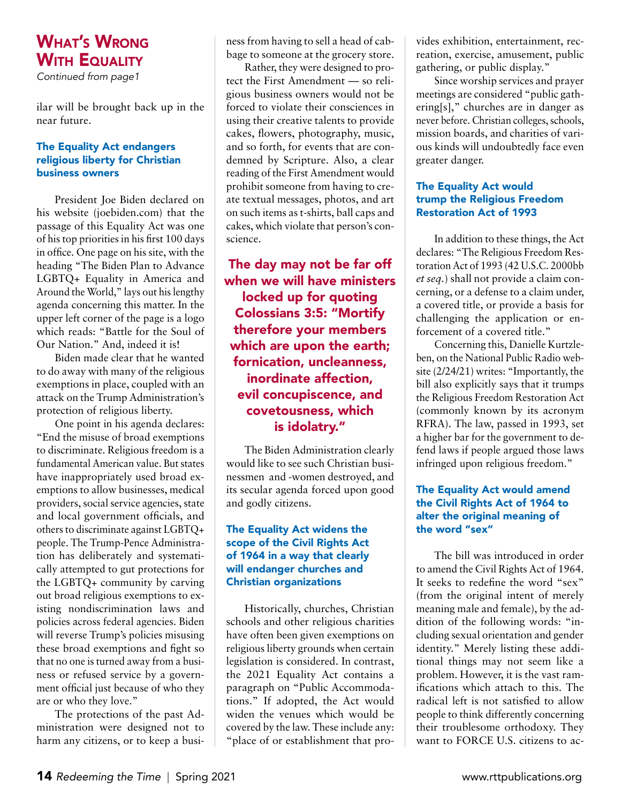# What's Wrong **WITH EQUALITY**

Continued from page1

ilar will be brought back up in the near future.

#### The Equality Act endangers religious liberty for Christian business owners

President Joe Biden declared on his website (joebiden.com) that the passage of this Equality Act was one of his top priorities in his first 100 days in office. One page on his site, with the heading "The Biden Plan to Advance LGBTQ+ Equality in America and Around the World," lays out his lengthy agenda concerning this matter. In the upper left corner of the page is a logo which reads: "Battle for the Soul of Our Nation." And, indeed it is!

Biden made clear that he wanted to do away with many of the religious exemptions in place, coupled with an attack on the Trump Administration's protection of religious liberty.

One point in his agenda declares: "End the misuse of broad exemptions to discriminate. Religious freedom is a fundamental American value. But states have inappropriately used broad exemptions to allow businesses, medical providers, social service agencies, state and local government officials, and others to discriminate against LGBTQ+ people. The Trump-Pence Administration has deliberately and systematically attempted to gut protections for the LGBTQ+ community by carving out broad religious exemptions to existing nondiscrimination laws and policies across federal agencies. Biden will reverse Trump's policies misusing these broad exemptions and fight so that no one is turned away from a business or refused service by a government official just because of who they are or who they love."

The protections of the past Administration were designed not to harm any citizens, or to keep a business from having to sell a head of cabbage to someone at the grocery store.

Rather, they were designed to protect the First Amendment — so religious business owners would not be forced to violate their consciences in using their creative talents to provide cakes, flowers, photography, music, and so forth, for events that are condemned by Scripture. Also, a clear reading of the First Amendment would prohibit someone from having to create textual messages, photos, and art on such items as t-shirts, ball caps and cakes, which violate that person's conscience.

The day may not be far off when we will have ministers locked up for quoting Colossians 3:5: "Mortify therefore your members which are upon the earth; fornication, uncleanness, inordinate affection, evil concupiscence, and covetousness, which is idolatry."

The Biden Administration clearly would like to see such Christian businessmen and -women destroyed, and its secular agenda forced upon good and godly citizens.

#### The Equality Act widens the scope of the Civil Rights Act of 1964 in a way that clearly will endanger churches and Christian organizations

Historically, churches, Christian schools and other religious charities have often been given exemptions on religious liberty grounds when certain legislation is considered. In contrast, the 2021 Equality Act contains a paragraph on "Public Accommodations." If adopted, the Act would widen the venues which would be covered by the law. These include any: "place of or establishment that pro-

vides exhibition, entertainment, recreation, exercise, amusement, public gathering, or public display."

Since worship services and prayer meetings are considered "public gathering[s]," churches are in danger as never before. Christian colleges, schools, mission boards, and charities of various kinds will undoubtedly face even greater danger.

#### The Equality Act would trump the Religious Freedom Restoration Act of 1993

In addition to these things, the Act declares: "The Religious Freedom Restoration Act of 1993 (42 U.S.C. 2000bb *et seq.*) shall not provide a claim concerning, or a defense to a claim under, a covered title, or provide a basis for challenging the application or enforcement of a covered title."

Concerning this, Danielle Kurtzleben, on the National Public Radio website (2/24/21) writes: "Importantly, the bill also explicitly says that it trumps the Religious Freedom Restoration Act (commonly known by its acronym RFRA). The law, passed in 1993, set a higher bar for the government to defend laws if people argued those laws infringed upon religious freedom."

#### The Equality Act would amend the Civil Rights Act of 1964 to alter the original meaning of the word "sex"

The bill was introduced in order to amend the Civil Rights Act of 1964. It seeks to redefine the word "sex" (from the original intent of merely meaning male and female), by the addition of the following words: "including sexual orientation and gender identity." Merely listing these additional things may not seem like a problem. However, it is the vast ramifications which attach to this. The radical left is not satisfied to allow people to think differently concerning their troublesome orthodoxy. They want to FORCE U.S. citizens to ac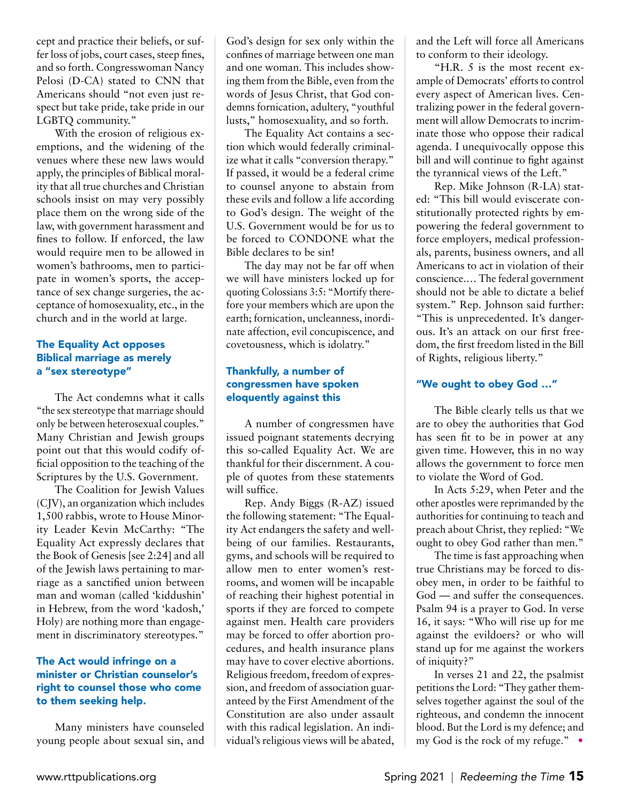cept and practice their beliefs, or suffer loss of jobs, court cases, steep fines, and so forth. Congresswoman Nancy Pelosi (D-CA) stated to CNN that Americans should "not even just respect but take pride, take pride in our LGBTQ community."

With the erosion of religious exemptions, and the widening of the venues where these new laws would apply, the principles of Biblical morality that all true churches and Christian schools insist on may very possibly place them on the wrong side of the law, with government harassment and fines to follow. If enforced, the law would require men to be allowed in women's bathrooms, men to participate in women's sports, the acceptance of sex change surgeries, the acceptance of homosexuality, etc., in the church and in the world at large.

#### The Equality Act opposes Biblical marriage as merely a "sex stereotype"

The Act condemns what it calls "the sex stereotype that marriage should only be between heterosexual couples." Many Christian and Jewish groups point out that this would codify official opposition to the teaching of the Scriptures by the U.S. Government.

The Coalition for Jewish Values (CJV), an organization which includes 1,500 rabbis, wrote to House Minority Leader Kevin McCarthy: "The Equality Act expressly declares that the Book of Genesis [see 2:24] and all of the Jewish laws pertaining to marriage as a sanctified union between man and woman (called 'kiddushin' in Hebrew, from the word 'kadosh,' Holy) are nothing more than engagement in discriminatory stereotypes."

#### The Act would infringe on a minister or Christian counselor's right to counsel those who come to them seeking help.

Many ministers have counseled young people about sexual sin, and

God's design for sex only within the confines of marriage between one man and one woman. This includes showing them from the Bible, even from the words of Jesus Christ, that God condemns fornication, adultery, "youthful lusts," homosexuality, and so forth.

The Equality Act contains a section which would federally criminalize what it calls "conversion therapy." If passed, it would be a federal crime to counsel anyone to abstain from these evils and follow a life according to God's design. The weight of the U.S. Government would be for us to be forced to CONDONE what the Bible declares to be sin!

The day may not be far off when we will have ministers locked up for quoting Colossians 3:5: "Mortify therefore your members which are upon the earth; fornication, uncleanness, inordinate affection, evil concupiscence, and covetousness, which is idolatry."

#### Thankfully, a number of congressmen have spoken eloquently against this

A number of congressmen have issued poignant statements decrying this so-called Equality Act. We are thankful for their discernment. A couple of quotes from these statements will suffice.

Rep. Andy Biggs (R-AZ) issued the following statement: "The Equality Act endangers the safety and wellbeing of our families. Restaurants, gyms, and schools will be required to allow men to enter women's restrooms, and women will be incapable of reaching their highest potential in sports if they are forced to compete against men. Health care providers may be forced to offer abortion procedures, and health insurance plans may have to cover elective abortions. Religious freedom, freedom of expression, and freedom of association guaranteed by the First Amendment of the Constitution are also under assault with this radical legislation. An individual's religious views will be abated, and the Left will force all Americans to conform to their ideology.

"H.R. 5 is the most recent example of Democrats' efforts to control every aspect of American lives. Centralizing power in the federal government will allow Democrats to incriminate those who oppose their radical agenda. I unequivocally oppose this bill and will continue to fight against the tyrannical views of the Left."

Rep. Mike Johnson (R-LA) stated: "This bill would eviscerate constitutionally protected rights by empowering the federal government to force employers, medical professionals, parents, business owners, and all Americans to act in violation of their conscience.… The federal government should not be able to dictate a belief system." Rep. Johnson said further: "This is unprecedented. It's dangerous. It's an attack on our first freedom, the first freedom listed in the Bill of Rights, religious liberty."

#### "We ought to obey God …"

The Bible clearly tells us that we are to obey the authorities that God has seen fit to be in power at any given time. However, this in no way allows the government to force men to violate the Word of God.

In Acts 5:29, when Peter and the other apostles were reprimanded by the authorities for continuing to teach and preach about Christ, they replied: "We ought to obey God rather than men."

The time is fast approaching when true Christians may be forced to disobey men, in order to be faithful to God — and suffer the consequences. Psalm 94 is a prayer to God. In verse 16, it says: "Who will rise up for me against the evildoers? or who will stand up for me against the workers of iniquity?"

In verses 21 and 22, the psalmist petitions the Lord: "They gather themselves together against the soul of the righteous, and condemn the innocent blood. But the Lord is my defence; and my God is the rock of my refuge." •